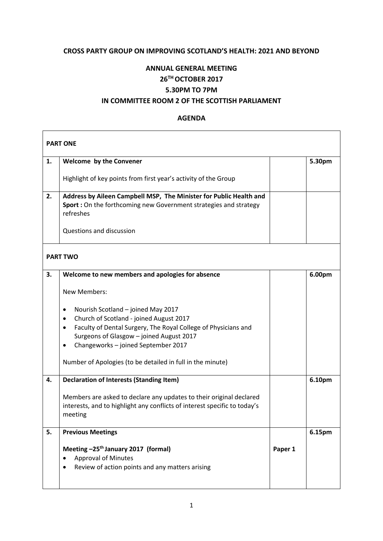## **CROSS PARTY GROUP ON IMPROVING SCOTLAND'S HEALTH: 2021 AND BEYOND**

## **ANNUAL GENERAL MEETING 26TH OCTOBER 2017 5.30PM TO 7PM**

## **IN COMMITTEE ROOM 2 OF THE SCOTTISH PARLIAMENT**

## **AGENDA**

| <b>PART ONE</b> |                                                                                                                                                      |         |        |  |  |
|-----------------|------------------------------------------------------------------------------------------------------------------------------------------------------|---------|--------|--|--|
| 1.              | Welcome by the Convener                                                                                                                              |         | 5.30pm |  |  |
|                 | Highlight of key points from first year's activity of the Group                                                                                      |         |        |  |  |
| 2.              | Address by Aileen Campbell MSP, The Minister for Public Health and<br>Sport : On the forthcoming new Government strategies and strategy<br>refreshes |         |        |  |  |
|                 | Questions and discussion                                                                                                                             |         |        |  |  |
| <b>PART TWO</b> |                                                                                                                                                      |         |        |  |  |
| 3.              | Welcome to new members and apologies for absence                                                                                                     |         | 6.00pm |  |  |
|                 | <b>New Members:</b>                                                                                                                                  |         |        |  |  |
|                 | Nourish Scotland - joined May 2017<br>٠                                                                                                              |         |        |  |  |
|                 | Church of Scotland - joined August 2017<br>٠<br>Faculty of Dental Surgery, The Royal College of Physicians and<br>$\bullet$                          |         |        |  |  |
|                 | Surgeons of Glasgow - joined August 2017                                                                                                             |         |        |  |  |
|                 | Changeworks - joined September 2017                                                                                                                  |         |        |  |  |
|                 | Number of Apologies (to be detailed in full in the minute)                                                                                           |         |        |  |  |
| 4.              | <b>Declaration of Interests (Standing Item)</b>                                                                                                      |         | 6.10pm |  |  |
|                 | Members are asked to declare any updates to their original declared                                                                                  |         |        |  |  |
|                 | interests, and to highlight any conflicts of interest specific to today's<br>meeting                                                                 |         |        |  |  |
|                 |                                                                                                                                                      |         |        |  |  |
| 5.              | <b>Previous Meetings</b>                                                                                                                             |         | 6.15pm |  |  |
|                 | Meeting -25 <sup>th</sup> January 2017 (formal)                                                                                                      | Paper 1 |        |  |  |
|                 | <b>Approval of Minutes</b>                                                                                                                           |         |        |  |  |
|                 | Review of action points and any matters arising                                                                                                      |         |        |  |  |
|                 |                                                                                                                                                      |         |        |  |  |